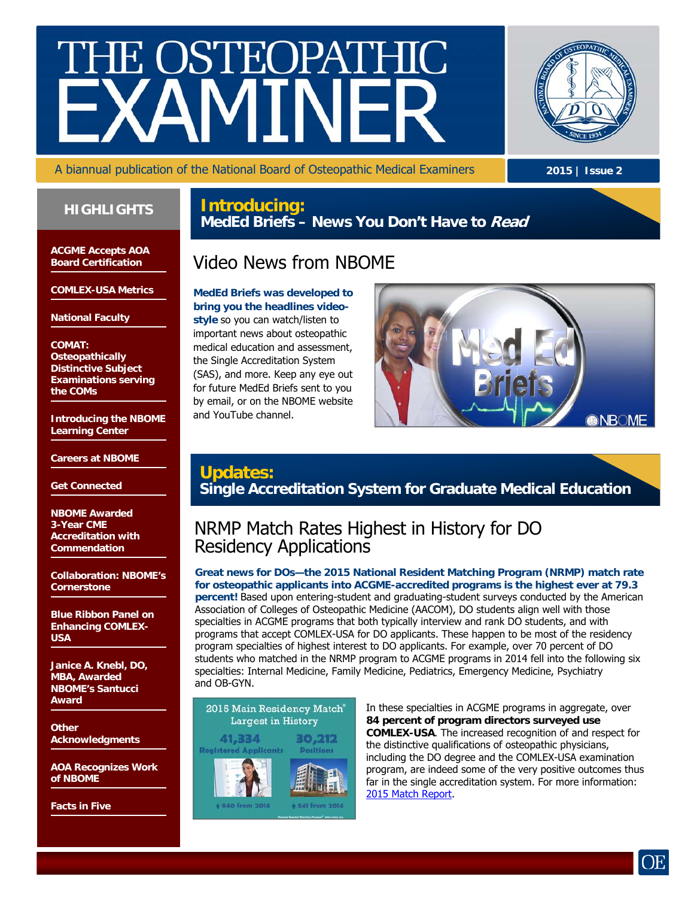# E OSTEOPATH



A biannual publication of the National Board of Osteopathic Medical Examiners

**2015 | Issue 2** 

### **HIGHLIGHTS**

**Introducing: MedEd Briefs – News You Don't Have to Read**

**ACGME Accepts AOA Board Certification** 

**COMLEX-USA Metrics** 

**National Faculty** 

### **COMAT: Osteopathically Distinctive Subject Examinations serving the COMs**

**Introducing the NBOME Learning Center** 

**Careers at NBOME** 

**Get Connected** 

**NBOME Awarded 3-Year CME Accreditation with Commendation** 

**Collaboration: NBOME's Cornerstone** 

**Blue Ribbon Panel on Enhancing COMLEX-USA** 

**Janice A. Knebl, DO, MBA, Awarded NBOME's Santucci Award** 

**Other Acknowledgments** 

**AOA Recognizes Work of NBOME** 

**Facts in Five** 

# Video News from NBOME

**MedEd Briefs was developed to bring you the headlines videostyle** so you can watch/listen to important news about osteopathic medical education and assessment, the Single Accreditation System (SAS), and more. Keep any eye out for future MedEd Briefs sent to you by email, or on the NBOME website and YouTube channel.



# **Updates: Single Accreditation System for Graduate Medical Education**

# NRMP Match Rates Highest in History for DO Residency Applications

**Great news for DOs—the 2015 National Resident Matching Program (NRMP) match rate for osteopathic applicants into ACGME-accredited programs is the highest ever at 79.3 percent!** Based upon entering-student and graduating-student surveys conducted by the American Association of Colleges of Osteopathic Medicine (AACOM), DO students align well with those specialties in ACGME programs that both typically interview and rank DO students, and with programs that accept COMLEX-USA for DO applicants. These happen to be most of the residency program specialties of highest interest to DO applicants. For example, over 70 percent of DO students who matched in the NRMP program to ACGME programs in 2014 fell into the following six specialties: Internal Medicine, Family Medicine, Pediatrics, Emergency Medicine, Psychiatry and OB-GYN.

2015 Main Residency Match® **Largest in History** 30,212 41,334 **Registered Applicants Docitions** 

In these specialties in ACGME programs in aggregate, over **84 percent of program directors surveyed use COMLEX-USA**. The increased recognition of and respect for the distinctive qualifications of osteopathic physicians, including the DO degree and the COMLEX-USA examination program, are indeed some of the very positive outcomes thus far in the single accreditation system. For more information: [2015 Match Report.](http://www.nrmp.org/press-release-2015-residency-match-largest-on-record-with-more-than-41000-applicants-vying-for-over-30000-residency-positions-in-4756-programs/)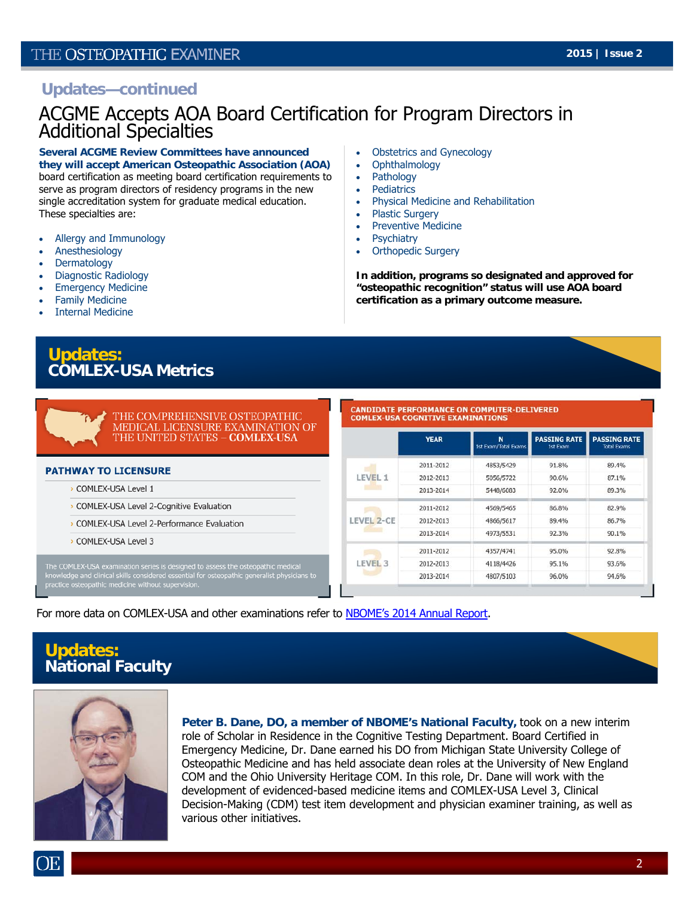### **Updates—continued**

# ACGME Accepts AOA Board Certification for Program Directors in Additional Specialties

### **Several ACGME Review Committees have announced**

**they will accept American Osteopathic Association (AOA)**  board certification as meeting board certification requirements to serve as program directors of residency programs in the new single accreditation system for graduate medical education. These specialties are:

- Allergy and Immunology
- Anesthesiology
- Dermatology
- Diagnostic Radiology
- Emergency Medicine
- Family Medicine
- Internal Medicine

### Obstetrics and Gynecology • Ophthalmology

- Pathology
- Pediatrics
- Physical Medicine and Rehabilitation
- Plastic Surgery
- Preventive Medicine
- **Psychiatry**
- Orthopedic Surgery

**In addition, programs so designated and approved for "osteopathic recognition" status will use AOA board certification as a primary outcome measure.**

**Updates: COMLEX-USA Metrics** 

> THE COMPREHENSIVE OSTEOPATHIC MEDICAL LICENSURE EXAMINATION OF THE UNITED STATES - COMLEX-USA

### **CANDIDATE PERFORMANCE ON COMPUTER-DELIVERED COMLEX-USA COGNITIVE EXAMINATIONS**

|                   | <b>YEAR</b> | N<br><b>1st Exam/Total Exams</b> | <b>PASSING RATE</b><br><b>1st Exam</b> | <b>PASSING RATE</b><br><b>Total Exams</b> |
|-------------------|-------------|----------------------------------|----------------------------------------|-------------------------------------------|
| LEVEL 1           | 2011-2012   | 4853/5429                        | 91.8%                                  | 89.4%                                     |
|                   | 2012-2013   | 5056/5722                        | 90.6%                                  | 87.1%                                     |
|                   | 2013-2014   | 5448/6083                        | 92.0%                                  | 89.3%                                     |
| <b>LEVEL 2-CE</b> | 2011-2012   | 4569/5465                        | 86.8%                                  | 82.9%                                     |
|                   | 2012-2013   | 4866/5617                        | 89.4%                                  | 86.7%                                     |
|                   | 2013-2014   | 4973/5531                        | 92.3%                                  | 90.1%                                     |
| <b>LEVEL 3</b>    | 2011-2012   | 4357/4741                        | 95.0%                                  | 92.8%                                     |
|                   | 2012-2013   | 4118/4426                        | 95.1%                                  | 93.6%                                     |
|                   | 2013-2014   | 4807/5103                        | 96.0%                                  | 94.6%                                     |

For more data on COMLEX-USA and other examinations refer to [NBOME's 2014 Annual Report.](http://www.nbome.org/docs/NBOME_Annual_Report_2014.pdf)

# **Updates: National Faculty**

**PATHWAY TO LICENSURE** > COMLEX-USA Level 1

> COMLEX-USA Level 3

> COMLEX-USA Level 2-Cognitive Evaluation > COMLEX-USA Level 2-Performance Evaluation

The COMLEX-USA examination series is designed to assess the osteopathic medical<br>knowledge and clinical skills considered essential for osteopathic generalist physicians to<br>practice osteopathic medicine without supervision.



**Peter B. Dane, DO, a member of NBOME's National Faculty,** took on a new interim role of Scholar in Residence in the Cognitive Testing Department. Board Certified in Emergency Medicine, Dr. Dane earned his DO from Michigan State University College of Osteopathic Medicine and has held associate dean roles at the University of New England COM and the Ohio University Heritage COM. In this role, Dr. Dane will work with the development of evidenced-based medicine items and COMLEX-USA Level 3, Clinical Decision-Making (CDM) test item development and physician examiner training, as well as various other initiatives.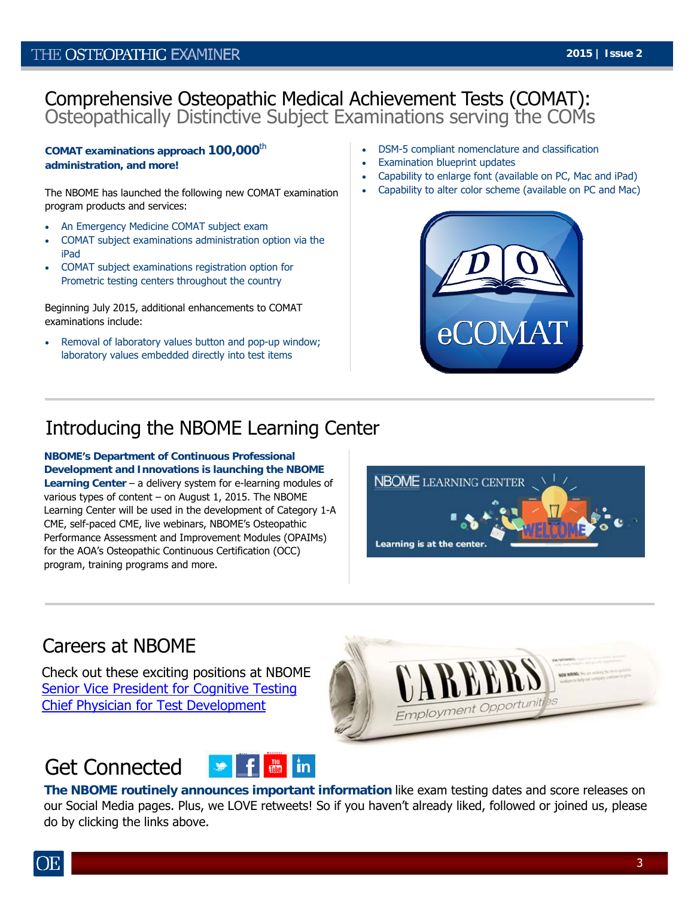# Comprehensive Osteopathic Medical Achievement Tests (COMAT): Osteopathically Distinctive Subject Examinations serving the COMs

**COMAT examinations approach 100,000**th **administration, and more!** 

The NBOME has launched the following new COMAT examination program products and services:

- An Emergency Medicine COMAT subject exam
- COMAT subject examinations administration option via the iPad
- COMAT subject examinations registration option for Prometric testing centers throughout the country

Beginning July 2015, additional enhancements to COMAT examinations include:

 Removal of laboratory values button and pop-up window; laboratory values embedded directly into test items

- DSM-5 compliant nomenclature and classification
- Examination blueprint updates
- Capability to enlarge font (available on PC, Mac and iPad)
- Capability to alter color scheme (available on PC and Mac)



# Introducing the NBOME Learning Center

**NBOME's Department of Continuous Professional Development and Innovations is launching the NBOME Learning Center** – a delivery system for e-learning modules of various types of content – on August 1, 2015. The NBOME Learning Center will be used in the development of Category 1-A CME, self-paced CME, live webinars, NBOME's Osteopathic Performance Assessment and Improvement Modules (OPAIMs) for the AOA's Osteopathic Continuous Certification (OCC) program, training programs and more.



Employment Opportun

# Careers at NBOME

Check out these exciting positions at NBOME: [Senior Vice President for Cognitive Testing](http://www.nbome.org/docs/job-2015-05-29_SVP_Cognitive_Testing.pdf) [Chief Physician for Test Development](http://www.nbome.org/docs/job-2015-05-01_Chief_Physician_Test_Development.pdf)

### Get Connected III. iii ii<del>iii</del>i [iiiii](https://www.youtube.com/channel/UCoWeaTJCro0A3xCUT_D5SIw)iiiiiii



**The NBOME routinely announces important information** like exam testing dates and score releases on our Social Media pages. Plus, we LOVE retweets! So if you haven't already liked, followed or joined us, please do by clicking the links above.

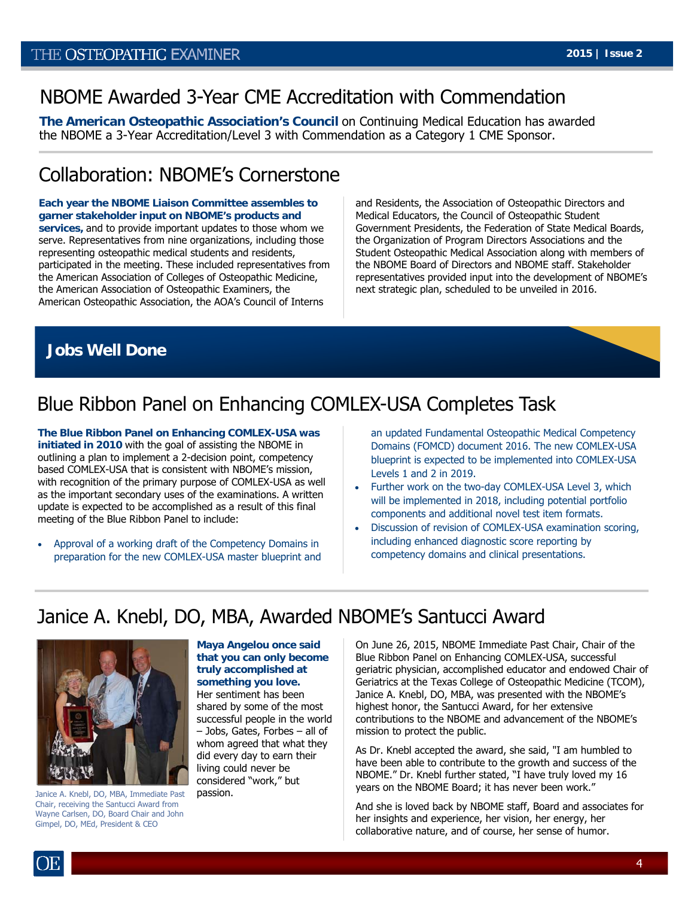# NBOME Awarded 3-Year CME Accreditation with Commendation

**The American Osteopathic Association's Council** on Continuing Medical Education has awarded the NBOME a 3-Year Accreditation/Level 3 with Commendation as a Category 1 CME Sponsor.

# Collaboration: NBOME's Cornerstone

**Each year the NBOME Liaison Committee assembles to garner stakeholder input on NBOME's products and services,** and to provide important updates to those whom we serve. Representatives from nine organizations, including those representing osteopathic medical students and residents, participated in the meeting. These included representatives from the American Association of Colleges of Osteopathic Medicine, the American Association of Osteopathic Examiners, the American Osteopathic Association, the AOA's Council of Interns

and Residents, the Association of Osteopathic Directors and Medical Educators, the Council of Osteopathic Student Government Presidents, the Federation of State Medical Boards, the Organization of Program Directors Associations and the Student Osteopathic Medical Association along with members of the NBOME Board of Directors and NBOME staff. Stakeholder representatives provided input into the development of NBOME's next strategic plan, scheduled to be unveiled in 2016.

# **Jobs Well Done**

# Blue Ribbon Panel on Enhancing COMLEX-USA Completes Task

**The Blue Ribbon Panel on Enhancing COMLEX-USA was initiated in 2010** with the goal of assisting the NBOME in outlining a plan to implement a 2-decision point, competency based COMLEX-USA that is consistent with NBOME's mission, with recognition of the primary purpose of COMLEX-USA as well as the important secondary uses of the examinations. A written update is expected to be accomplished as a result of this final meeting of the Blue Ribbon Panel to include:

• Approval of a working draft of the Competency Domains in preparation for the new COMLEX-USA master blueprint and an updated Fundamental Osteopathic Medical Competency Domains (FOMCD) document 2016. The new COMLEX-USA blueprint is expected to be implemented into COMLEX-USA Levels 1 and 2 in 2019.

- Further work on the two-day COMLEX-USA Level 3, which will be implemented in 2018, including potential portfolio components and additional novel test item formats.
- Discussion of revision of COMLEX-USA examination scoring, including enhanced diagnostic score reporting by competency domains and clinical presentations.

# Janice A. Knebl, DO, MBA, Awarded NBOME's Santucci Award



Janice A. Knebl, DO, MBA, Immediate Past Chair, receiving the Santucci Award from Wayne Carlsen, DO, Board Chair and John Gimpel, DO, MEd, President & CEO

**Maya Angelou once said that you can only become truly accomplished at something you love.**  Her sentiment has been shared by some of the most successful people in the world

– Jobs, Gates, Forbes – all of whom agreed that what they did every day to earn their living could never be considered "work," but passion.

On June 26, 2015, NBOME Immediate Past Chair, Chair of the Blue Ribbon Panel on Enhancing COMLEX-USA, successful geriatric physician, accomplished educator and endowed Chair of Geriatrics at the Texas College of Osteopathic Medicine (TCOM), Janice A. Knebl, DO, MBA, was presented with the NBOME's highest honor, the Santucci Award, for her extensive contributions to the NBOME and advancement of the NBOME's mission to protect the public.

As Dr. Knebl accepted the award, she said, "I am humbled to have been able to contribute to the growth and success of the NBOME." Dr. Knebl further stated, "I have truly loved my 16 years on the NBOME Board; it has never been work."

And she is loved back by NBOME staff, Board and associates for her insights and experience, her vision, her energy, her collaborative nature, and of course, her sense of humor.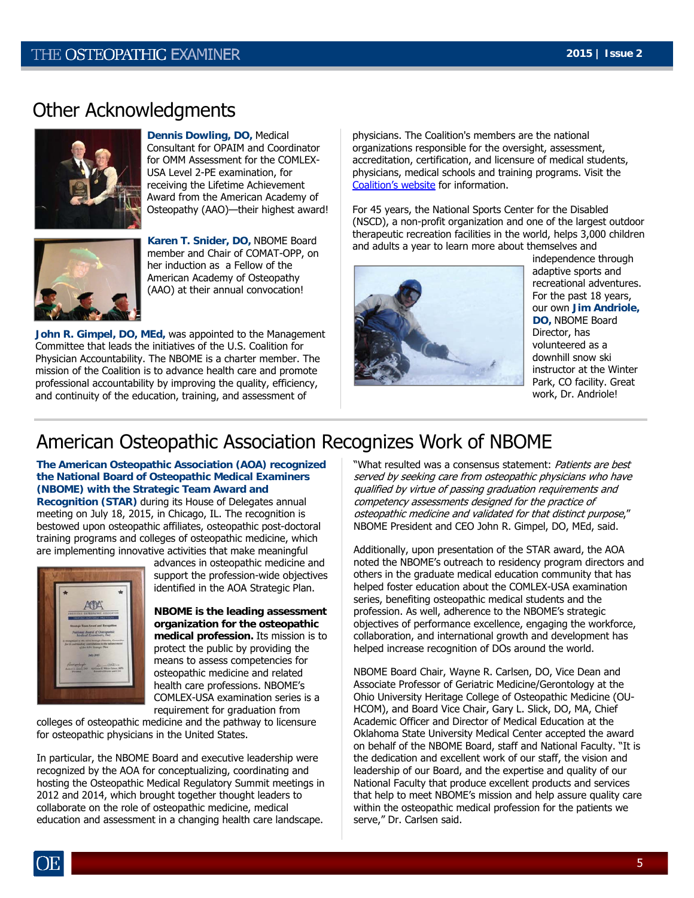# Other Acknowledgments



**Dennis Dowling, DO,** Medical Consultant for OPAIM and Coordinator for OMM Assessment for the COMLEX-USA Level 2-PE examination, for receiving the Lifetime Achievement Award from the American Academy of Osteopathy (AAO)—their highest award!



**Karen T. Snider, DO,** NBOME Board member and Chair of COMAT-OPP, on her induction as a Fellow of the American Academy of Osteopathy (AAO) at their annual convocation!

**John R. Gimpel, DO, MEd,** was appointed to the Management Committee that leads the initiatives of the U.S. Coalition for Physician Accountability. The NBOME is a charter member. The mission of the Coalition is to advance health care and promote professional accountability by improving the quality, efficiency, and continuity of the education, training, and assessment of

physicians. The Coalition's members are the national organizations responsible for the oversight, assessment, accreditation, certification, and licensure of medical students, physicians, medical schools and training programs. Visit the [Coalition's website](http://www.physicianaccountability.org/) for information.

For 45 years, the National Sports Center for the Disabled (NSCD), a non-profit organization and one of the largest outdoor therapeutic recreation facilities in the world, helps 3,000 children and adults a year to learn more about themselves and



independence through adaptive sports and recreational adventures. For the past 18 years, our own **Jim Andriole, DO,** NBOME Board Director, has volunteered as a downhill snow ski instructor at the Winter Park, CO facility. Great work, Dr. Andriole!

# American Osteopathic Association Recognizes Work of NBOME

**The American Osteopathic Association (AOA) recognized the National Board of Osteopathic Medical Examiners (NBOME) with the Strategic Team Award and** 

**Recognition (STAR)** during its House of Delegates annual meeting on July 18, 2015, in Chicago, IL. The recognition is bestowed upon osteopathic affiliates, osteopathic post-doctoral training programs and colleges of osteopathic medicine, which are implementing innovative activities that make meaningful



advances in osteopathic medicine and support the profession-wide objectives identified in the AOA Strategic Plan.

**NBOME is the leading assessment organization for the osteopathic medical profession.** Its mission is to protect the public by providing the means to assess competencies for osteopathic medicine and related health care professions. NBOME's COMLEX-USA examination series is a requirement for graduation from

colleges of osteopathic medicine and the pathway to licensure for osteopathic physicians in the United States.

In particular, the NBOME Board and executive leadership were recognized by the AOA for conceptualizing, coordinating and hosting the Osteopathic Medical Regulatory Summit meetings in 2012 and 2014, which brought together thought leaders to collaborate on the role of osteopathic medicine, medical education and assessment in a changing health care landscape.

"What resulted was a consensus statement: Patients are best served by seeking care from osteopathic physicians who have qualified by virtue of passing graduation requirements and competency assessments designed for the practice of osteopathic medicine and validated for that distinct purpose," NBOME President and CEO John R. Gimpel, DO, MEd, said.

Additionally, upon presentation of the STAR award, the AOA noted the NBOME's outreach to residency program directors and others in the graduate medical education community that has helped foster education about the COMLEX-USA examination series, benefiting osteopathic medical students and the profession. As well, adherence to the NBOME's strategic objectives of performance excellence, engaging the workforce, collaboration, and international growth and development has helped increase recognition of DOs around the world.

NBOME Board Chair, Wayne R. Carlsen, DO, Vice Dean and Associate Professor of Geriatric Medicine/Gerontology at the Ohio University Heritage College of Osteopathic Medicine (OU-HCOM), and Board Vice Chair, Gary L. Slick, DO, MA, Chief Academic Officer and Director of Medical Education at the Oklahoma State University Medical Center accepted the award on behalf of the NBOME Board, staff and National Faculty. "It is the dedication and excellent work of our staff, the vision and leadership of our Board, and the expertise and quality of our National Faculty that produce excellent products and services that help to meet NBOME's mission and help assure quality care within the osteopathic medical profession for the patients we serve," Dr. Carlsen said.